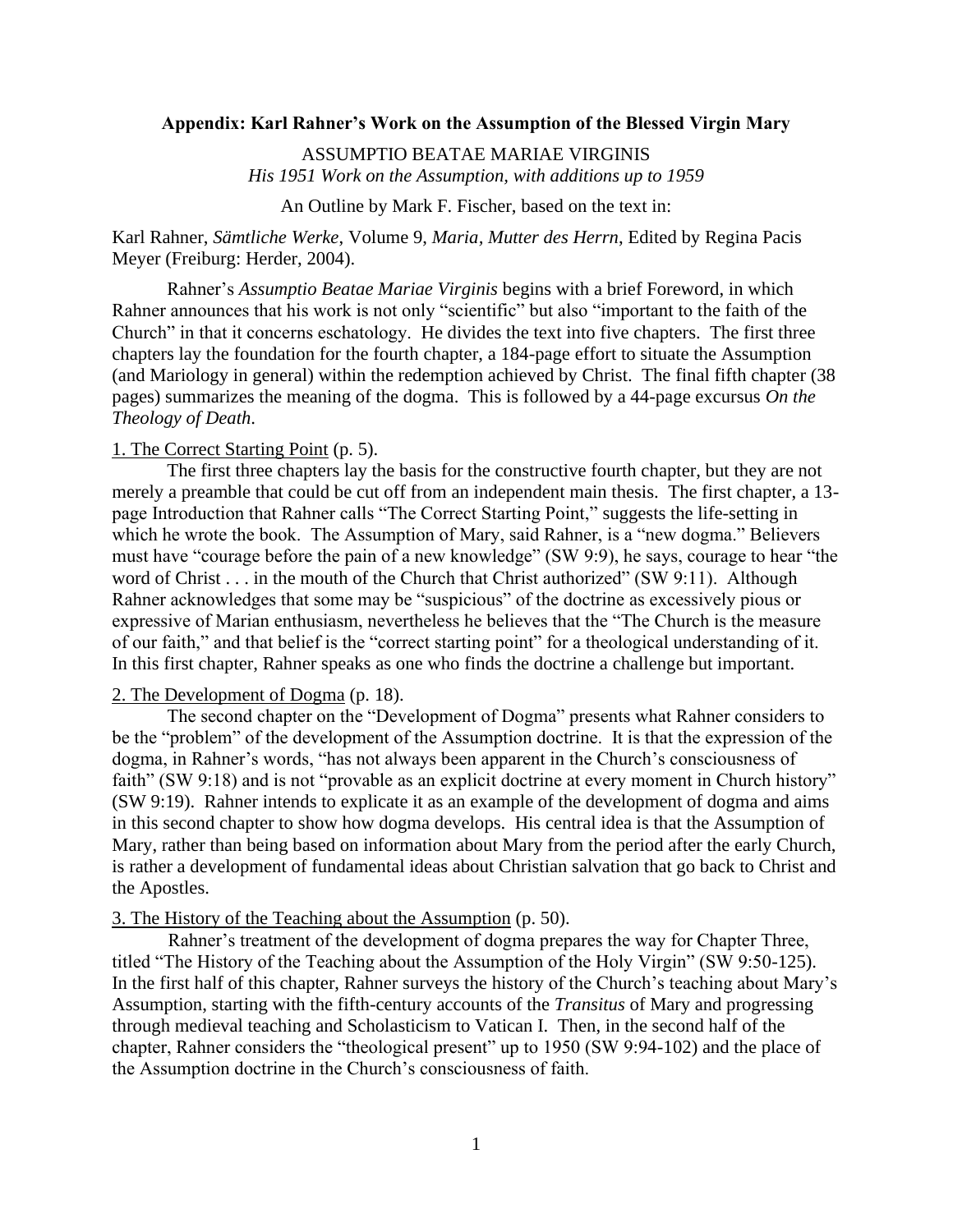#### **Appendix: Karl Rahner's Work on the Assumption of the Blessed Virgin Mary**

ASSUMPTIO BEATAE MARIAE VIRGINIS *His 1951 Work on the Assumption, with additions up to 1959*

An Outline by Mark F. Fischer, based on the text in:

Karl Rahner, *Sämtliche Werke*, Volume 9, *Maria, Mutter des Herrn*, Edited by Regina Pacis Meyer (Freiburg: Herder, 2004).

Rahner's *Assumptio Beatae Mariae Virginis* begins with a brief Foreword, in which Rahner announces that his work is not only "scientific" but also "important to the faith of the Church" in that it concerns eschatology. He divides the text into five chapters. The first three chapters lay the foundation for the fourth chapter, a 184-page effort to situate the Assumption (and Mariology in general) within the redemption achieved by Christ. The final fifth chapter (38 pages) summarizes the meaning of the dogma. This is followed by a 44-page excursus *On the Theology of Death*.

### 1. The Correct Starting Point (p. 5).

The first three chapters lay the basis for the constructive fourth chapter, but they are not merely a preamble that could be cut off from an independent main thesis. The first chapter, a 13 page Introduction that Rahner calls "The Correct Starting Point," suggests the life-setting in which he wrote the book. The Assumption of Mary, said Rahner, is a "new dogma." Believers must have "courage before the pain of a new knowledge" (SW 9:9), he says, courage to hear "the word of Christ . . . in the mouth of the Church that Christ authorized" (SW 9:11). Although Rahner acknowledges that some may be "suspicious" of the doctrine as excessively pious or expressive of Marian enthusiasm, nevertheless he believes that the "The Church is the measure of our faith," and that belief is the "correct starting point" for a theological understanding of it. In this first chapter, Rahner speaks as one who finds the doctrine a challenge but important.

## 2. The Development of Dogma (p. 18).

The second chapter on the "Development of Dogma" presents what Rahner considers to be the "problem" of the development of the Assumption doctrine. It is that the expression of the dogma, in Rahner's words, "has not always been apparent in the Church's consciousness of faith" (SW 9:18) and is not "provable as an explicit doctrine at every moment in Church history" (SW 9:19). Rahner intends to explicate it as an example of the development of dogma and aims in this second chapter to show how dogma develops. His central idea is that the Assumption of Mary, rather than being based on information about Mary from the period after the early Church, is rather a development of fundamental ideas about Christian salvation that go back to Christ and the Apostles.

#### 3. The History of the Teaching about the Assumption (p. 50).

Rahner's treatment of the development of dogma prepares the way for Chapter Three, titled "The History of the Teaching about the Assumption of the Holy Virgin" (SW 9:50-125). In the first half of this chapter, Rahner surveys the history of the Church's teaching about Mary's Assumption, starting with the fifth-century accounts of the *Transitus* of Mary and progressing through medieval teaching and Scholasticism to Vatican I. Then, in the second half of the chapter, Rahner considers the "theological present" up to 1950 (SW 9:94-102) and the place of the Assumption doctrine in the Church's consciousness of faith.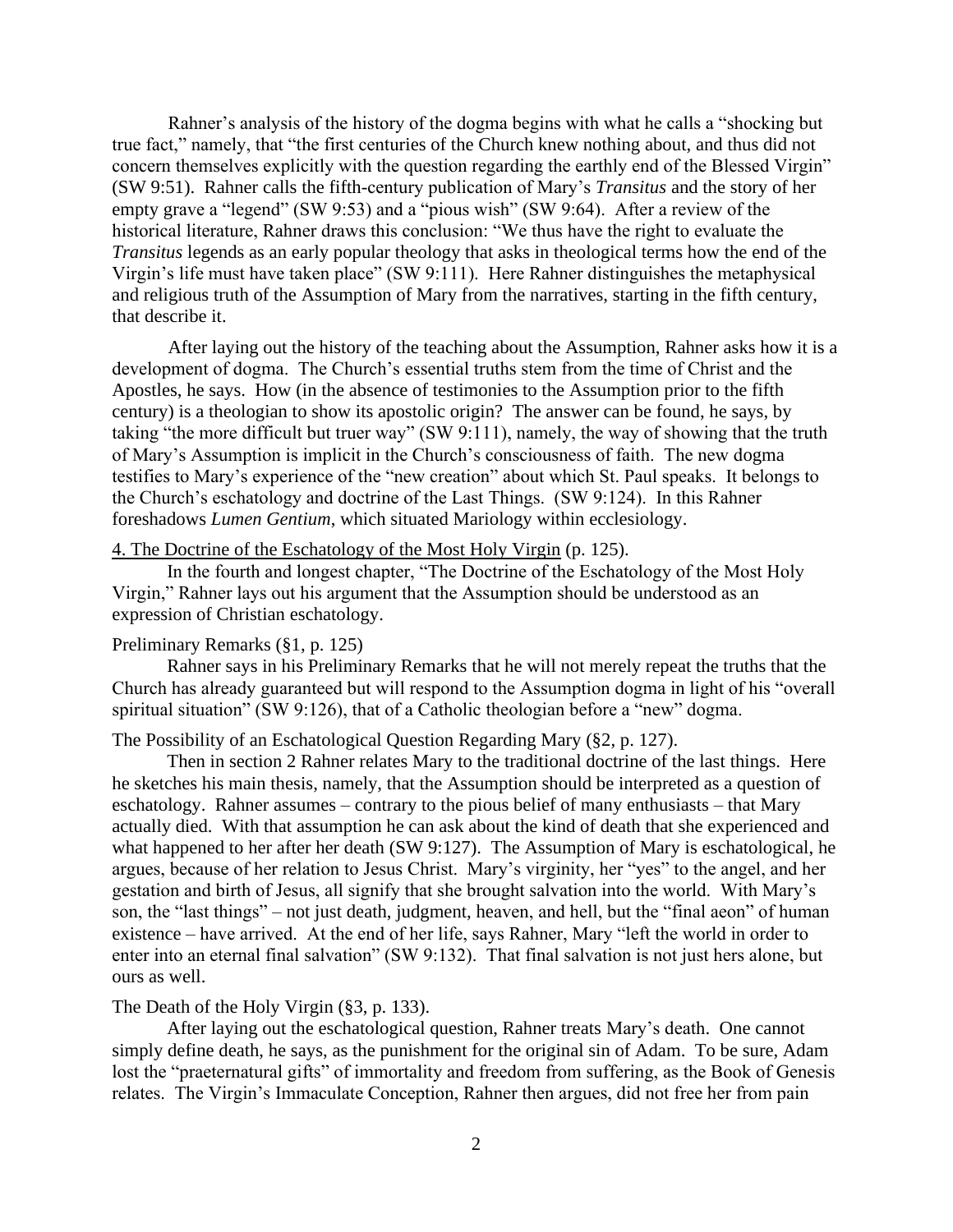Rahner's analysis of the history of the dogma begins with what he calls a "shocking but true fact," namely, that "the first centuries of the Church knew nothing about, and thus did not concern themselves explicitly with the question regarding the earthly end of the Blessed Virgin" (SW 9:51). Rahner calls the fifth-century publication of Mary's *Transitus* and the story of her empty grave a "legend" (SW 9:53) and a "pious wish" (SW 9:64). After a review of the historical literature, Rahner draws this conclusion: "We thus have the right to evaluate the *Transitus* legends as an early popular theology that asks in theological terms how the end of the Virgin's life must have taken place" (SW 9:111). Here Rahner distinguishes the metaphysical and religious truth of the Assumption of Mary from the narratives, starting in the fifth century, that describe it.

After laying out the history of the teaching about the Assumption, Rahner asks how it is a development of dogma. The Church's essential truths stem from the time of Christ and the Apostles, he says. How (in the absence of testimonies to the Assumption prior to the fifth century) is a theologian to show its apostolic origin? The answer can be found, he says, by taking "the more difficult but truer way" (SW 9:111), namely, the way of showing that the truth of Mary's Assumption is implicit in the Church's consciousness of faith. The new dogma testifies to Mary's experience of the "new creation" about which St. Paul speaks. It belongs to the Church's eschatology and doctrine of the Last Things. (SW 9:124). In this Rahner foreshadows *Lumen Gentium*, which situated Mariology within ecclesiology.

### 4. The Doctrine of the Eschatology of the Most Holy Virgin (p. 125).

In the fourth and longest chapter, "The Doctrine of the Eschatology of the Most Holy Virgin," Rahner lays out his argument that the Assumption should be understood as an expression of Christian eschatology.

#### Preliminary Remarks (§1, p. 125)

Rahner says in his Preliminary Remarks that he will not merely repeat the truths that the Church has already guaranteed but will respond to the Assumption dogma in light of his "overall spiritual situation" (SW 9:126), that of a Catholic theologian before a "new" dogma.

### The Possibility of an Eschatological Question Regarding Mary (§2, p. 127).

Then in section 2 Rahner relates Mary to the traditional doctrine of the last things. Here he sketches his main thesis, namely, that the Assumption should be interpreted as a question of eschatology. Rahner assumes – contrary to the pious belief of many enthusiasts – that Mary actually died. With that assumption he can ask about the kind of death that she experienced and what happened to her after her death (SW 9:127). The Assumption of Mary is eschatological, he argues, because of her relation to Jesus Christ. Mary's virginity, her "yes" to the angel, and her gestation and birth of Jesus, all signify that she brought salvation into the world. With Mary's son, the "last things" – not just death, judgment, heaven, and hell, but the "final aeon" of human existence – have arrived. At the end of her life, says Rahner, Mary "left the world in order to enter into an eternal final salvation" (SW 9:132). That final salvation is not just hers alone, but ours as well.

#### The Death of the Holy Virgin (§3, p. 133).

After laying out the eschatological question, Rahner treats Mary's death. One cannot simply define death, he says, as the punishment for the original sin of Adam. To be sure, Adam lost the "praeternatural gifts" of immortality and freedom from suffering, as the Book of Genesis relates. The Virgin's Immaculate Conception, Rahner then argues, did not free her from pain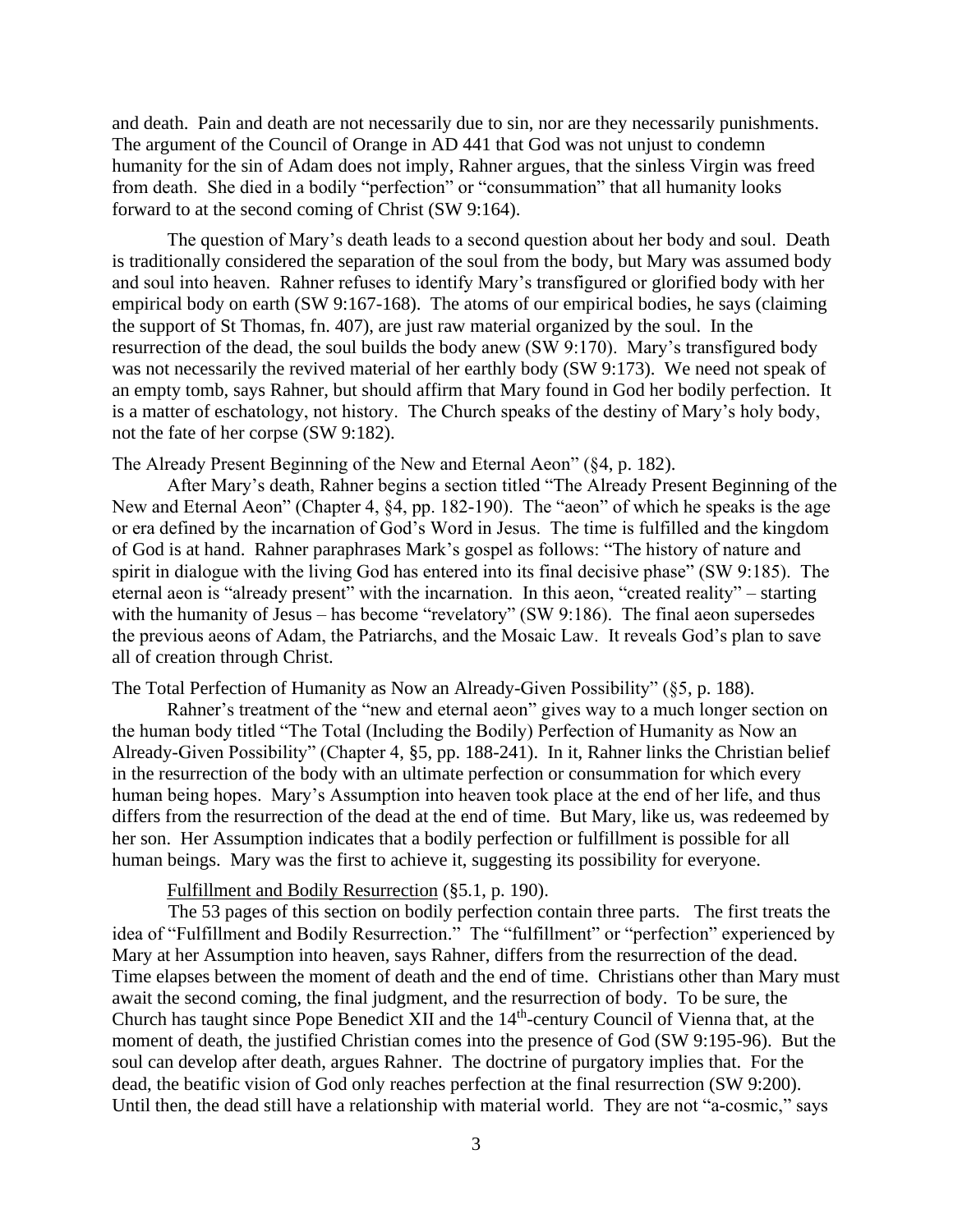and death. Pain and death are not necessarily due to sin, nor are they necessarily punishments. The argument of the Council of Orange in AD 441 that God was not unjust to condemn humanity for the sin of Adam does not imply, Rahner argues, that the sinless Virgin was freed from death. She died in a bodily "perfection" or "consummation" that all humanity looks forward to at the second coming of Christ (SW 9:164).

The question of Mary's death leads to a second question about her body and soul. Death is traditionally considered the separation of the soul from the body, but Mary was assumed body and soul into heaven. Rahner refuses to identify Mary's transfigured or glorified body with her empirical body on earth (SW 9:167-168). The atoms of our empirical bodies, he says (claiming the support of St Thomas, fn. 407), are just raw material organized by the soul. In the resurrection of the dead, the soul builds the body anew (SW 9:170). Mary's transfigured body was not necessarily the revived material of her earthly body (SW 9:173). We need not speak of an empty tomb, says Rahner, but should affirm that Mary found in God her bodily perfection. It is a matter of eschatology, not history. The Church speaks of the destiny of Mary's holy body, not the fate of her corpse (SW 9:182).

The Already Present Beginning of the New and Eternal Aeon" (§4, p. 182).

After Mary's death, Rahner begins a section titled "The Already Present Beginning of the New and Eternal Aeon" (Chapter 4, §4, pp. 182-190). The "aeon" of which he speaks is the age or era defined by the incarnation of God's Word in Jesus. The time is fulfilled and the kingdom of God is at hand. Rahner paraphrases Mark's gospel as follows: "The history of nature and spirit in dialogue with the living God has entered into its final decisive phase" (SW 9:185). The eternal aeon is "already present" with the incarnation. In this aeon, "created reality" – starting with the humanity of Jesus – has become "revelatory" (SW 9:186). The final aeon supersedes the previous aeons of Adam, the Patriarchs, and the Mosaic Law. It reveals God's plan to save all of creation through Christ.

The Total Perfection of Humanity as Now an Already-Given Possibility" (§5, p. 188).

Rahner's treatment of the "new and eternal aeon" gives way to a much longer section on the human body titled "The Total (Including the Bodily) Perfection of Humanity as Now an Already-Given Possibility" (Chapter 4, §5, pp. 188-241). In it, Rahner links the Christian belief in the resurrection of the body with an ultimate perfection or consummation for which every human being hopes. Mary's Assumption into heaven took place at the end of her life, and thus differs from the resurrection of the dead at the end of time. But Mary, like us, was redeemed by her son. Her Assumption indicates that a bodily perfection or fulfillment is possible for all human beings. Mary was the first to achieve it, suggesting its possibility for everyone.

# Fulfillment and Bodily Resurrection (§5.1, p. 190).

The 53 pages of this section on bodily perfection contain three parts. The first treats the idea of "Fulfillment and Bodily Resurrection." The "fulfillment" or "perfection" experienced by Mary at her Assumption into heaven, says Rahner, differs from the resurrection of the dead. Time elapses between the moment of death and the end of time. Christians other than Mary must await the second coming, the final judgment, and the resurrection of body. To be sure, the Church has taught since Pope Benedict XII and the 14<sup>th</sup>-century Council of Vienna that, at the moment of death, the justified Christian comes into the presence of God (SW 9:195-96). But the soul can develop after death, argues Rahner. The doctrine of purgatory implies that. For the dead, the beatific vision of God only reaches perfection at the final resurrection (SW 9:200). Until then, the dead still have a relationship with material world. They are not "a-cosmic," says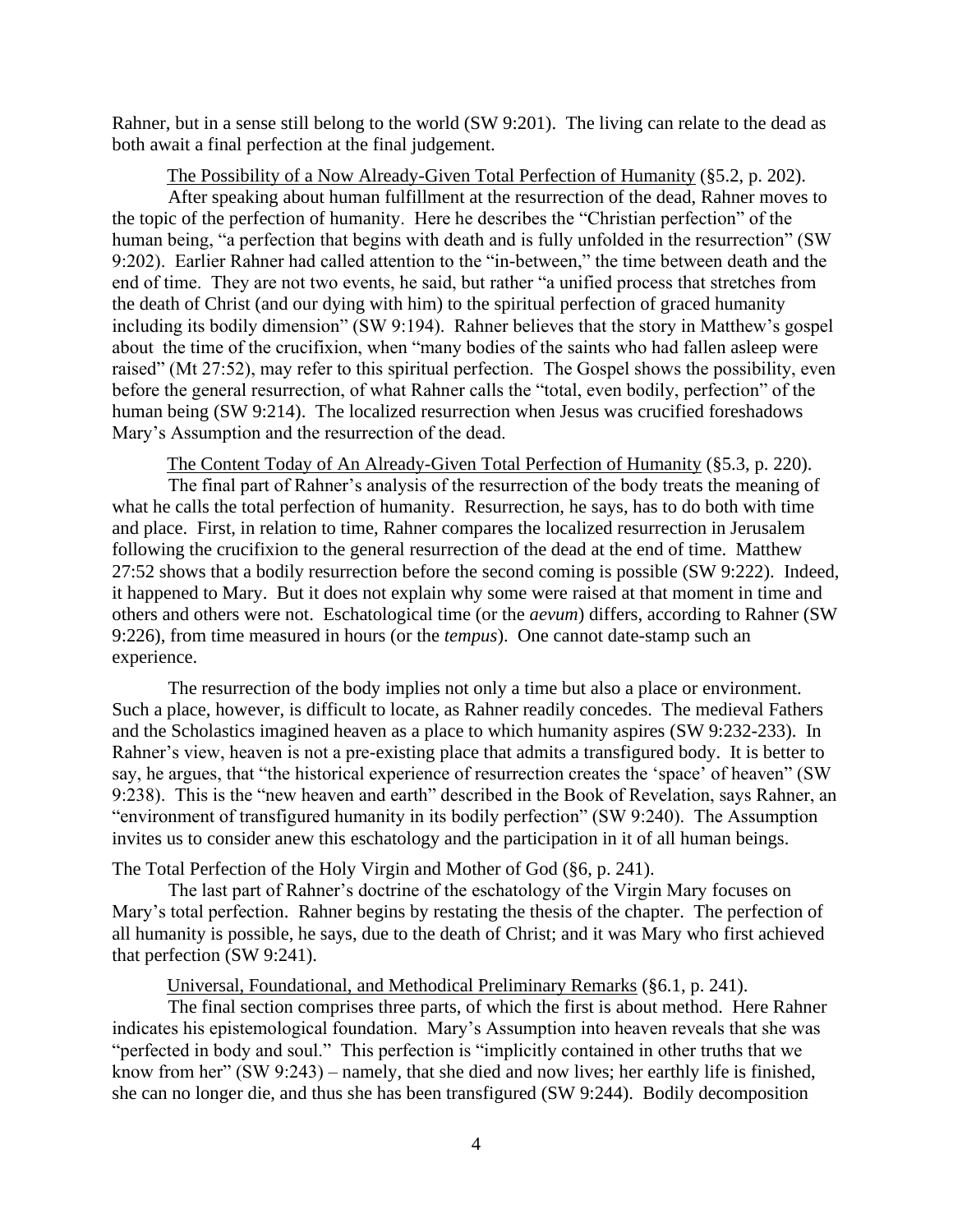Rahner, but in a sense still belong to the world (SW 9:201). The living can relate to the dead as both await a final perfection at the final judgement.

The Possibility of a Now Already-Given Total Perfection of Humanity (§5.2, p. 202).

After speaking about human fulfillment at the resurrection of the dead, Rahner moves to the topic of the perfection of humanity. Here he describes the "Christian perfection" of the human being, "a perfection that begins with death and is fully unfolded in the resurrection" (SW 9:202). Earlier Rahner had called attention to the "in-between," the time between death and the end of time. They are not two events, he said, but rather "a unified process that stretches from the death of Christ (and our dying with him) to the spiritual perfection of graced humanity including its bodily dimension" (SW 9:194). Rahner believes that the story in Matthew's gospel about the time of the crucifixion, when "many bodies of the saints who had fallen asleep were raised" (Mt 27:52), may refer to this spiritual perfection. The Gospel shows the possibility, even before the general resurrection, of what Rahner calls the "total, even bodily, perfection" of the human being (SW 9:214). The localized resurrection when Jesus was crucified foreshadows Mary's Assumption and the resurrection of the dead.

The Content Today of An Already-Given Total Perfection of Humanity (§5.3, p. 220).

The final part of Rahner's analysis of the resurrection of the body treats the meaning of what he calls the total perfection of humanity. Resurrection, he says, has to do both with time and place. First, in relation to time, Rahner compares the localized resurrection in Jerusalem following the crucifixion to the general resurrection of the dead at the end of time. Matthew 27:52 shows that a bodily resurrection before the second coming is possible (SW 9:222). Indeed, it happened to Mary. But it does not explain why some were raised at that moment in time and others and others were not. Eschatological time (or the *aevum*) differs, according to Rahner (SW 9:226), from time measured in hours (or the *tempus*). One cannot date-stamp such an experience.

The resurrection of the body implies not only a time but also a place or environment. Such a place, however, is difficult to locate, as Rahner readily concedes. The medieval Fathers and the Scholastics imagined heaven as a place to which humanity aspires (SW 9:232-233). In Rahner's view, heaven is not a pre-existing place that admits a transfigured body. It is better to say, he argues, that "the historical experience of resurrection creates the 'space' of heaven" (SW 9:238). This is the "new heaven and earth" described in the Book of Revelation, says Rahner, an "environment of transfigured humanity in its bodily perfection" (SW 9:240). The Assumption invites us to consider anew this eschatology and the participation in it of all human beings.

The Total Perfection of the Holy Virgin and Mother of God (§6, p. 241).

The last part of Rahner's doctrine of the eschatology of the Virgin Mary focuses on Mary's total perfection. Rahner begins by restating the thesis of the chapter. The perfection of all humanity is possible, he says, due to the death of Christ; and it was Mary who first achieved that perfection (SW 9:241).

Universal, Foundational, and Methodical Preliminary Remarks (§6.1, p. 241).

The final section comprises three parts, of which the first is about method. Here Rahner indicates his epistemological foundation. Mary's Assumption into heaven reveals that she was "perfected in body and soul." This perfection is "implicitly contained in other truths that we know from her" (SW 9:243) – namely, that she died and now lives; her earthly life is finished, she can no longer die, and thus she has been transfigured (SW 9:244). Bodily decomposition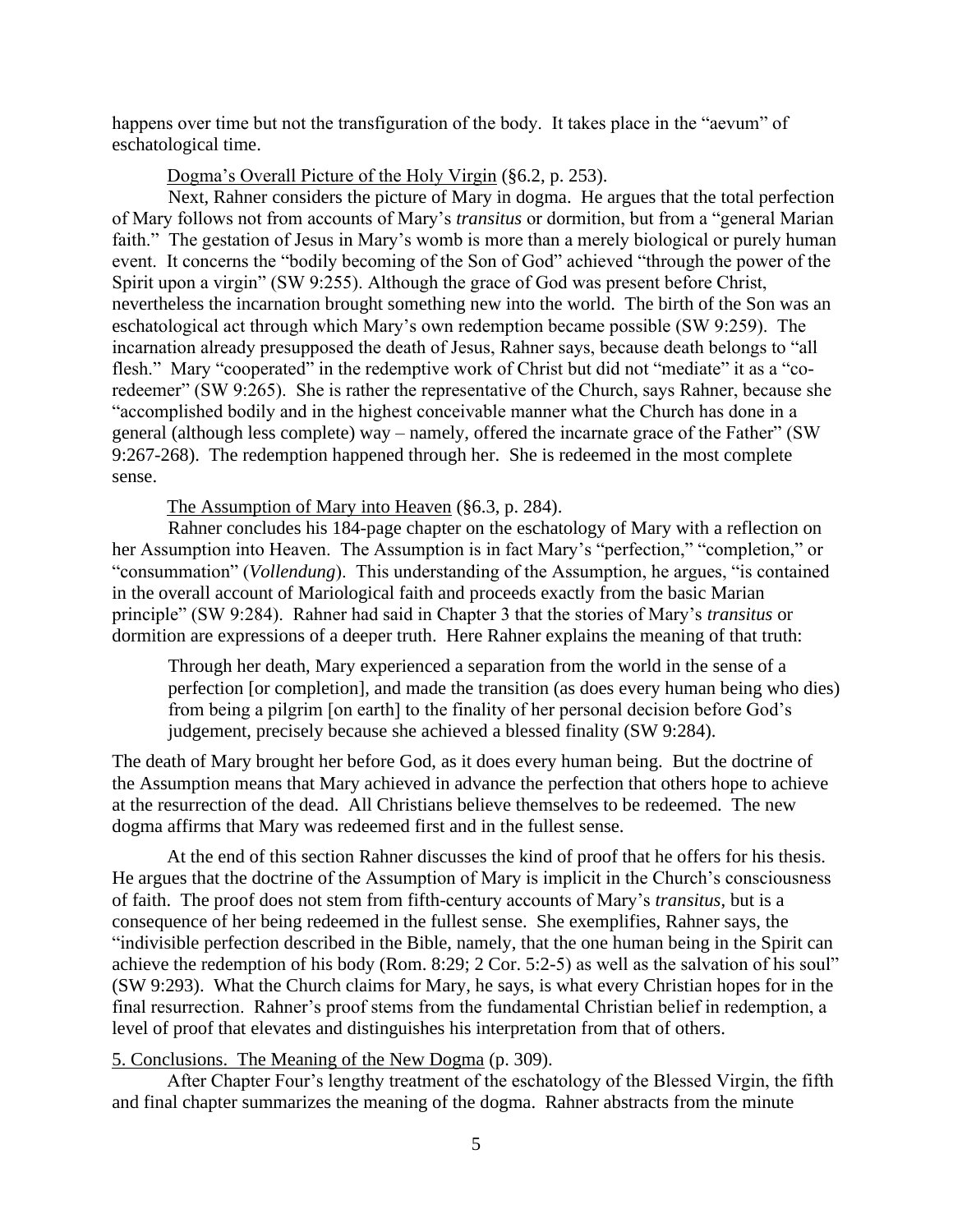happens over time but not the transfiguration of the body. It takes place in the "aevum" of eschatological time.

#### Dogma's Overall Picture of the Holy Virgin (§6.2, p. 253).

Next, Rahner considers the picture of Mary in dogma. He argues that the total perfection of Mary follows not from accounts of Mary's *transitus* or dormition, but from a "general Marian faith." The gestation of Jesus in Mary's womb is more than a merely biological or purely human event. It concerns the "bodily becoming of the Son of God" achieved "through the power of the Spirit upon a virgin" (SW 9:255). Although the grace of God was present before Christ, nevertheless the incarnation brought something new into the world. The birth of the Son was an eschatological act through which Mary's own redemption became possible (SW 9:259). The incarnation already presupposed the death of Jesus, Rahner says, because death belongs to "all flesh." Mary "cooperated" in the redemptive work of Christ but did not "mediate" it as a "coredeemer" (SW 9:265). She is rather the representative of the Church, says Rahner, because she "accomplished bodily and in the highest conceivable manner what the Church has done in a general (although less complete) way – namely, offered the incarnate grace of the Father" (SW 9:267-268). The redemption happened through her. She is redeemed in the most complete sense.

The Assumption of Mary into Heaven (§6.3, p. 284).

Rahner concludes his 184-page chapter on the eschatology of Mary with a reflection on her Assumption into Heaven. The Assumption is in fact Mary's "perfection," "completion," or "consummation" (*Vollendung*). This understanding of the Assumption, he argues, "is contained in the overall account of Mariological faith and proceeds exactly from the basic Marian principle" (SW 9:284). Rahner had said in Chapter 3 that the stories of Mary's *transitus* or dormition are expressions of a deeper truth. Here Rahner explains the meaning of that truth:

Through her death, Mary experienced a separation from the world in the sense of a perfection [or completion], and made the transition (as does every human being who dies) from being a pilgrim [on earth] to the finality of her personal decision before God's judgement, precisely because she achieved a blessed finality (SW 9:284).

The death of Mary brought her before God, as it does every human being. But the doctrine of the Assumption means that Mary achieved in advance the perfection that others hope to achieve at the resurrection of the dead. All Christians believe themselves to be redeemed. The new dogma affirms that Mary was redeemed first and in the fullest sense.

At the end of this section Rahner discusses the kind of proof that he offers for his thesis. He argues that the doctrine of the Assumption of Mary is implicit in the Church's consciousness of faith. The proof does not stem from fifth-century accounts of Mary's *transitus*, but is a consequence of her being redeemed in the fullest sense. She exemplifies, Rahner says, the "indivisible perfection described in the Bible, namely, that the one human being in the Spirit can achieve the redemption of his body (Rom. 8:29; 2 Cor. 5:2-5) as well as the salvation of his soul" (SW 9:293). What the Church claims for Mary, he says, is what every Christian hopes for in the final resurrection. Rahner's proof stems from the fundamental Christian belief in redemption, a level of proof that elevates and distinguishes his interpretation from that of others.

#### 5. Conclusions. The Meaning of the New Dogma (p. 309).

After Chapter Four's lengthy treatment of the eschatology of the Blessed Virgin, the fifth and final chapter summarizes the meaning of the dogma. Rahner abstracts from the minute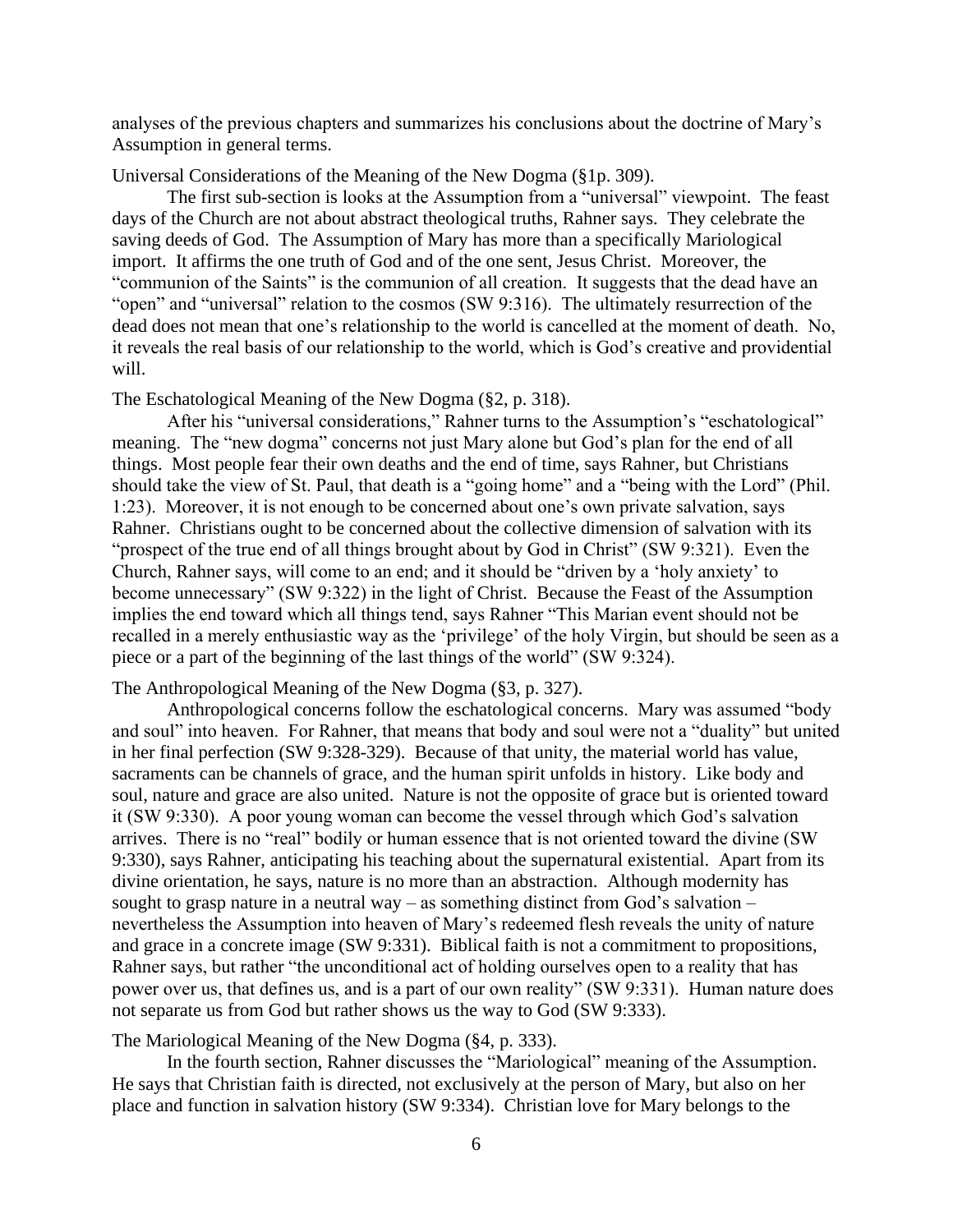analyses of the previous chapters and summarizes his conclusions about the doctrine of Mary's Assumption in general terms.

Universal Considerations of the Meaning of the New Dogma (§1p. 309).

The first sub-section is looks at the Assumption from a "universal" viewpoint. The feast days of the Church are not about abstract theological truths, Rahner says. They celebrate the saving deeds of God. The Assumption of Mary has more than a specifically Mariological import. It affirms the one truth of God and of the one sent, Jesus Christ. Moreover, the "communion of the Saints" is the communion of all creation. It suggests that the dead have an "open" and "universal" relation to the cosmos (SW 9:316). The ultimately resurrection of the dead does not mean that one's relationship to the world is cancelled at the moment of death. No, it reveals the real basis of our relationship to the world, which is God's creative and providential will.

The Eschatological Meaning of the New Dogma (§2, p. 318).

After his "universal considerations," Rahner turns to the Assumption's "eschatological" meaning. The "new dogma" concerns not just Mary alone but God's plan for the end of all things. Most people fear their own deaths and the end of time, says Rahner, but Christians should take the view of St. Paul, that death is a "going home" and a "being with the Lord" (Phil. 1:23). Moreover, it is not enough to be concerned about one's own private salvation, says Rahner. Christians ought to be concerned about the collective dimension of salvation with its "prospect of the true end of all things brought about by God in Christ" (SW 9:321). Even the Church, Rahner says, will come to an end; and it should be "driven by a 'holy anxiety' to become unnecessary" (SW 9:322) in the light of Christ. Because the Feast of the Assumption implies the end toward which all things tend, says Rahner "This Marian event should not be recalled in a merely enthusiastic way as the 'privilege' of the holy Virgin, but should be seen as a piece or a part of the beginning of the last things of the world" (SW 9:324).

The Anthropological Meaning of the New Dogma (§3, p. 327).

Anthropological concerns follow the eschatological concerns. Mary was assumed "body and soul" into heaven. For Rahner, that means that body and soul were not a "duality" but united in her final perfection (SW 9:328-329). Because of that unity, the material world has value, sacraments can be channels of grace, and the human spirit unfolds in history. Like body and soul, nature and grace are also united. Nature is not the opposite of grace but is oriented toward it (SW 9:330). A poor young woman can become the vessel through which God's salvation arrives. There is no "real" bodily or human essence that is not oriented toward the divine (SW 9:330), says Rahner, anticipating his teaching about the supernatural existential. Apart from its divine orientation, he says, nature is no more than an abstraction. Although modernity has sought to grasp nature in a neutral way – as something distinct from God's salvation – nevertheless the Assumption into heaven of Mary's redeemed flesh reveals the unity of nature and grace in a concrete image (SW 9:331). Biblical faith is not a commitment to propositions, Rahner says, but rather "the unconditional act of holding ourselves open to a reality that has power over us, that defines us, and is a part of our own reality" (SW 9:331). Human nature does not separate us from God but rather shows us the way to God (SW 9:333).

The Mariological Meaning of the New Dogma (§4, p. 333).

In the fourth section, Rahner discusses the "Mariological" meaning of the Assumption. He says that Christian faith is directed, not exclusively at the person of Mary, but also on her place and function in salvation history (SW 9:334). Christian love for Mary belongs to the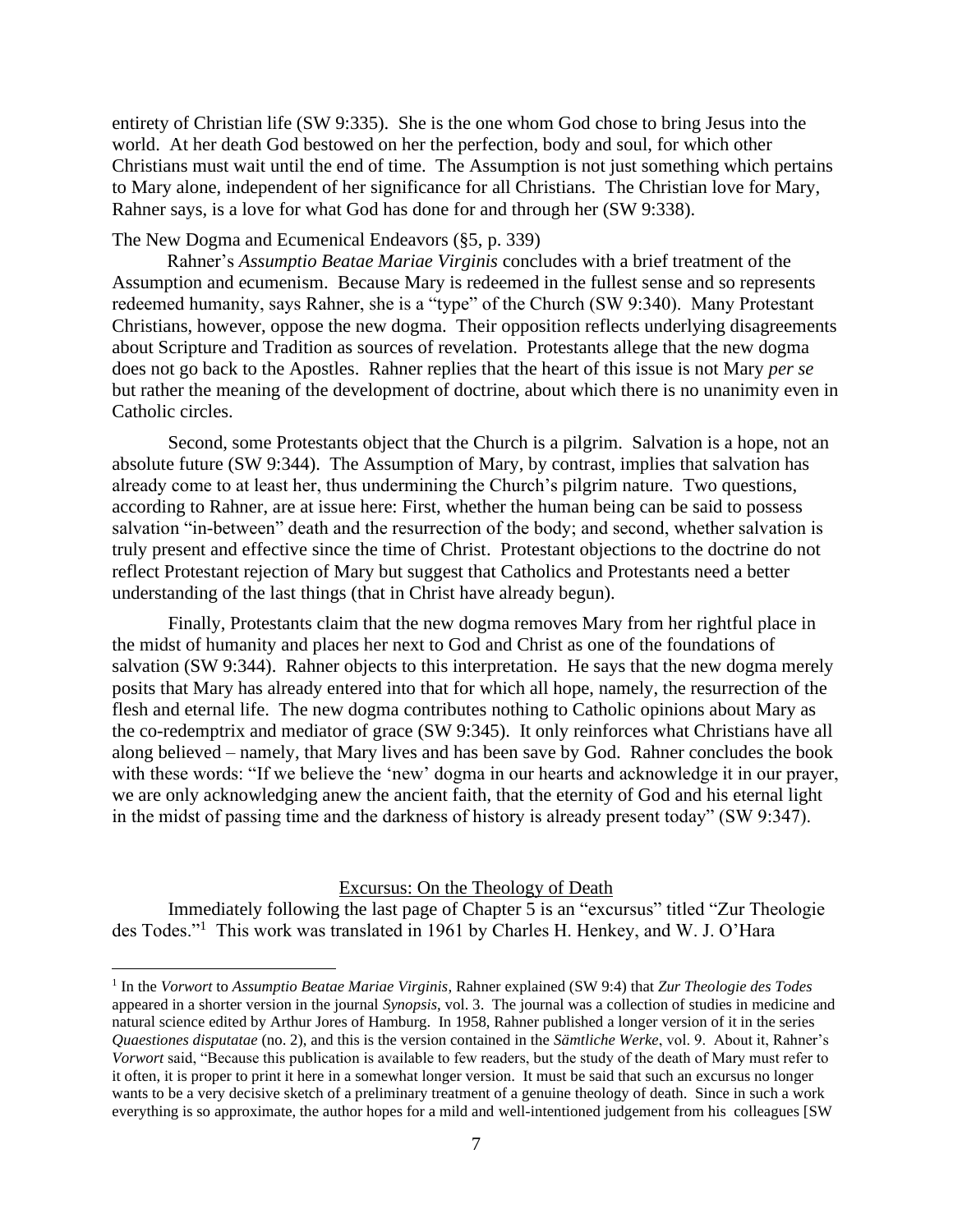entirety of Christian life (SW 9:335). She is the one whom God chose to bring Jesus into the world. At her death God bestowed on her the perfection, body and soul, for which other Christians must wait until the end of time. The Assumption is not just something which pertains to Mary alone, independent of her significance for all Christians. The Christian love for Mary, Rahner says, is a love for what God has done for and through her (SW 9:338).

## The New Dogma and Ecumenical Endeavors (§5, p. 339)

Rahner's *Assumptio Beatae Mariae Virginis* concludes with a brief treatment of the Assumption and ecumenism. Because Mary is redeemed in the fullest sense and so represents redeemed humanity, says Rahner, she is a "type" of the Church (SW 9:340). Many Protestant Christians, however, oppose the new dogma. Their opposition reflects underlying disagreements about Scripture and Tradition as sources of revelation. Protestants allege that the new dogma does not go back to the Apostles. Rahner replies that the heart of this issue is not Mary *per se* but rather the meaning of the development of doctrine, about which there is no unanimity even in Catholic circles.

Second, some Protestants object that the Church is a pilgrim. Salvation is a hope, not an absolute future (SW 9:344). The Assumption of Mary, by contrast, implies that salvation has already come to at least her, thus undermining the Church's pilgrim nature. Two questions, according to Rahner, are at issue here: First, whether the human being can be said to possess salvation "in-between" death and the resurrection of the body; and second, whether salvation is truly present and effective since the time of Christ. Protestant objections to the doctrine do not reflect Protestant rejection of Mary but suggest that Catholics and Protestants need a better understanding of the last things (that in Christ have already begun).

Finally, Protestants claim that the new dogma removes Mary from her rightful place in the midst of humanity and places her next to God and Christ as one of the foundations of salvation (SW 9:344). Rahner objects to this interpretation. He says that the new dogma merely posits that Mary has already entered into that for which all hope, namely, the resurrection of the flesh and eternal life. The new dogma contributes nothing to Catholic opinions about Mary as the co-redemptrix and mediator of grace (SW 9:345). It only reinforces what Christians have all along believed – namely, that Mary lives and has been save by God. Rahner concludes the book with these words: "If we believe the 'new' dogma in our hearts and acknowledge it in our prayer, we are only acknowledging anew the ancient faith, that the eternity of God and his eternal light in the midst of passing time and the darkness of history is already present today" (SW 9:347).

#### Excursus: On the Theology of Death

Immediately following the last page of Chapter 5 is an "excursus" titled "Zur Theologie des Todes."<sup>1</sup> This work was translated in 1961 by Charles H. Henkey, and W. J. O'Hara

<sup>1</sup> In the *Vorwort* to *Assumptio Beatae Mariae Virginis*, Rahner explained (SW 9:4) that *Zur Theologie des Todes* appeared in a shorter version in the journal *Synopsis*, vol. 3. The journal was a collection of studies in medicine and natural science edited by Arthur Jores of Hamburg. In 1958, Rahner published a longer version of it in the series *Quaestiones disputatae* (no. 2), and this is the version contained in the *Sämtliche Werke*, vol. 9. About it, Rahner's *Vorwort* said, "Because this publication is available to few readers, but the study of the death of Mary must refer to it often, it is proper to print it here in a somewhat longer version. It must be said that such an excursus no longer wants to be a very decisive sketch of a preliminary treatment of a genuine theology of death. Since in such a work everything is so approximate, the author hopes for a mild and well-intentioned judgement from his colleagues [SW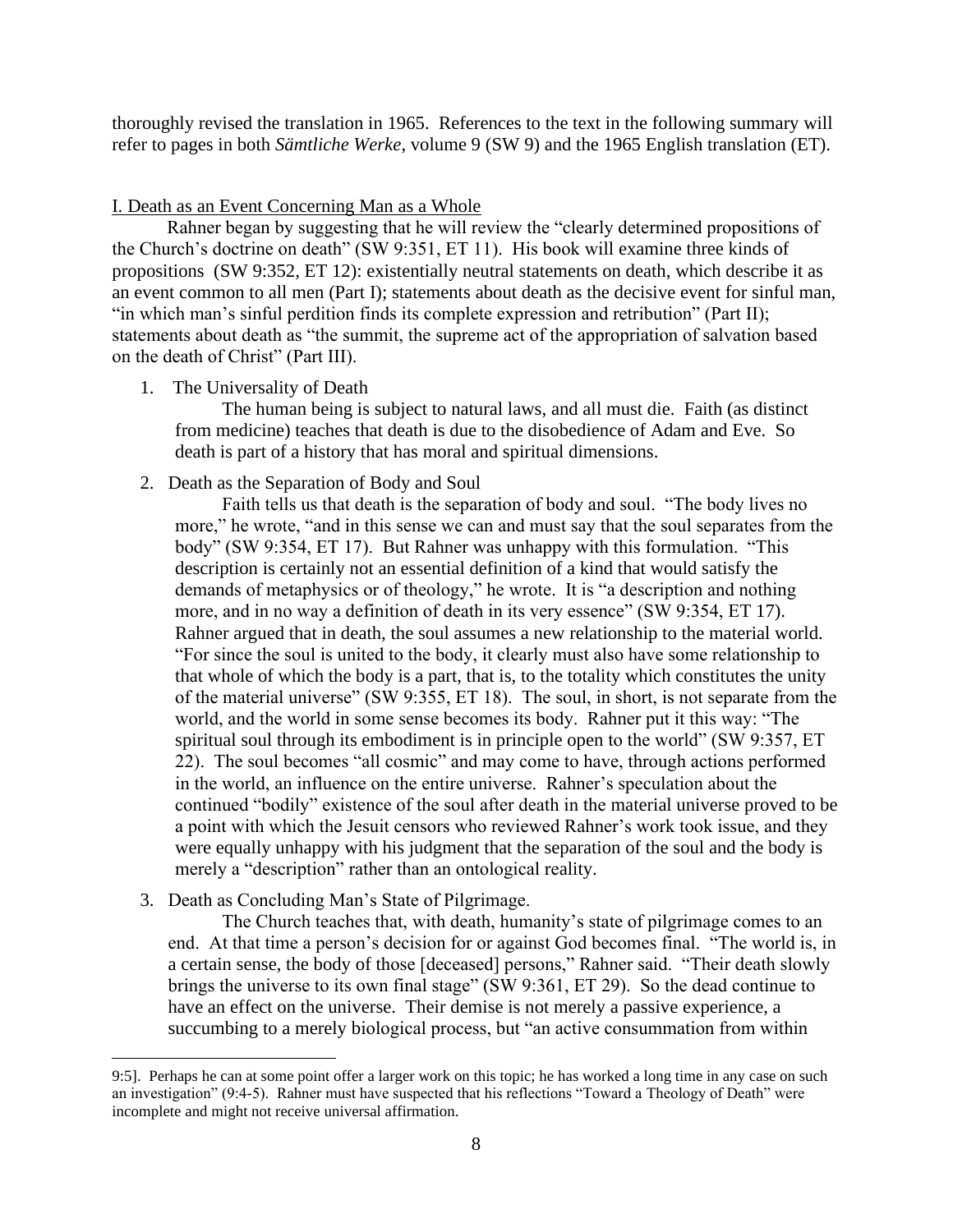thoroughly revised the translation in 1965. References to the text in the following summary will refer to pages in both *Sämtliche Werke*, volume 9 (SW 9) and the 1965 English translation (ET).

I. Death as an Event Concerning Man as a Whole

Rahner began by suggesting that he will review the "clearly determined propositions of the Church's doctrine on death" (SW 9:351, ET 11). His book will examine three kinds of propositions (SW 9:352, ET 12): existentially neutral statements on death, which describe it as an event common to all men (Part I); statements about death as the decisive event for sinful man, "in which man's sinful perdition finds its complete expression and retribution" (Part II); statements about death as "the summit, the supreme act of the appropriation of salvation based on the death of Christ" (Part III).

1. The Universality of Death

The human being is subject to natural laws, and all must die. Faith (as distinct from medicine) teaches that death is due to the disobedience of Adam and Eve. So death is part of a history that has moral and spiritual dimensions.

2. Death as the Separation of Body and Soul

Faith tells us that death is the separation of body and soul. "The body lives no more," he wrote, "and in this sense we can and must say that the soul separates from the body" (SW 9:354, ET 17). But Rahner was unhappy with this formulation. "This description is certainly not an essential definition of a kind that would satisfy the demands of metaphysics or of theology," he wrote. It is "a description and nothing more, and in no way a definition of death in its very essence" (SW 9:354, ET 17). Rahner argued that in death, the soul assumes a new relationship to the material world. "For since the soul is united to the body, it clearly must also have some relationship to that whole of which the body is a part, that is, to the totality which constitutes the unity of the material universe" (SW 9:355, ET 18). The soul, in short, is not separate from the world, and the world in some sense becomes its body. Rahner put it this way: "The spiritual soul through its embodiment is in principle open to the world" (SW 9:357, ET 22). The soul becomes "all cosmic" and may come to have, through actions performed in the world, an influence on the entire universe. Rahner's speculation about the continued "bodily" existence of the soul after death in the material universe proved to be a point with which the Jesuit censors who reviewed Rahner's work took issue, and they were equally unhappy with his judgment that the separation of the soul and the body is merely a "description" rather than an ontological reality.

3. Death as Concluding Man's State of Pilgrimage.

The Church teaches that, with death, humanity's state of pilgrimage comes to an end. At that time a person's decision for or against God becomes final. "The world is, in a certain sense, the body of those [deceased] persons," Rahner said. "Their death slowly brings the universe to its own final stage" (SW 9:361, ET 29). So the dead continue to have an effect on the universe. Their demise is not merely a passive experience, a succumbing to a merely biological process, but "an active consummation from within

<sup>9:5].</sup> Perhaps he can at some point offer a larger work on this topic; he has worked a long time in any case on such an investigation" (9:4-5). Rahner must have suspected that his reflections "Toward a Theology of Death" were incomplete and might not receive universal affirmation.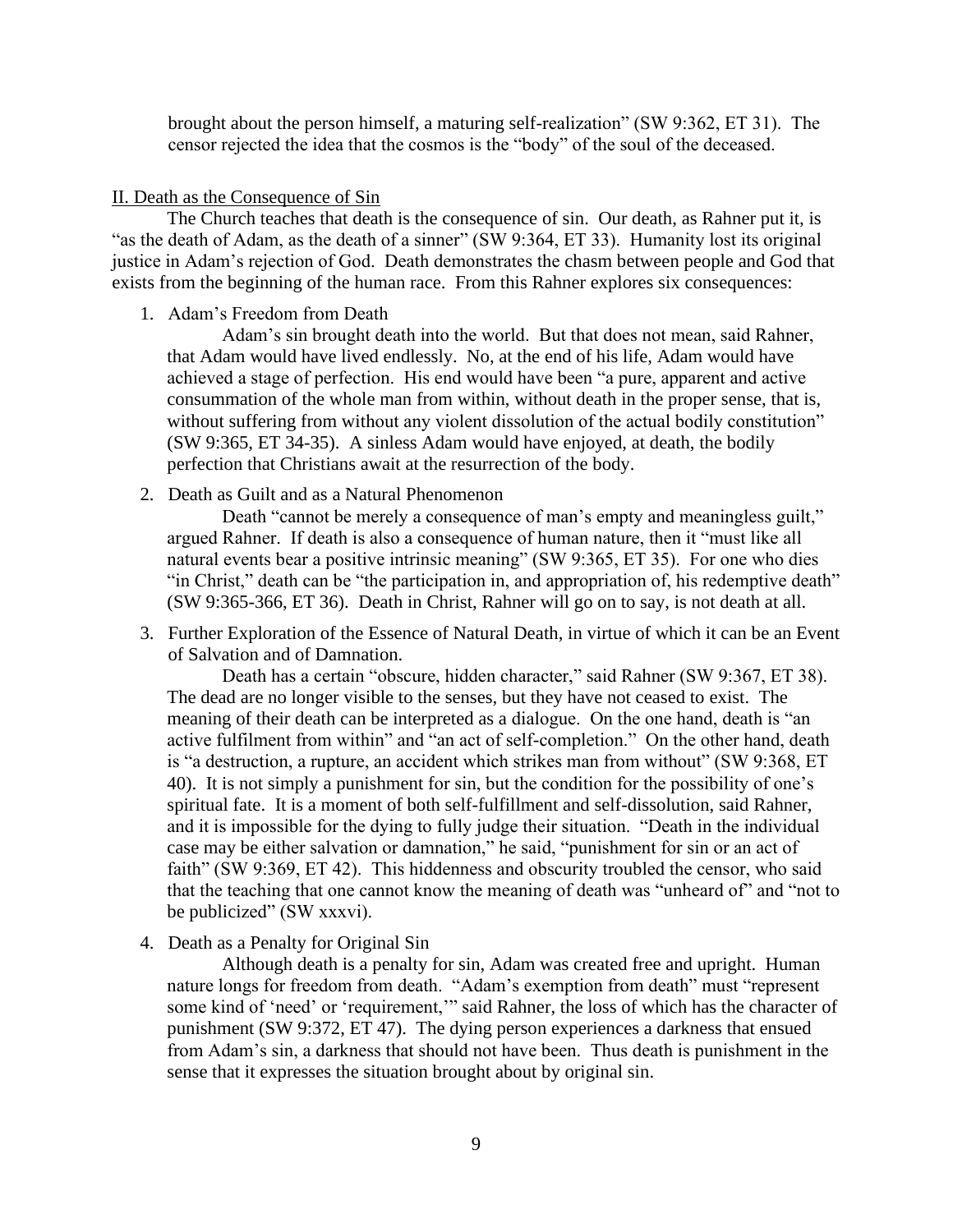brought about the person himself, a maturing self-realization" (SW 9:362, ET 31). The censor rejected the idea that the cosmos is the "body" of the soul of the deceased.

#### II. Death as the Consequence of Sin

The Church teaches that death is the consequence of sin. Our death, as Rahner put it, is "as the death of Adam, as the death of a sinner" (SW 9:364, ET 33). Humanity lost its original justice in Adam's rejection of God. Death demonstrates the chasm between people and God that exists from the beginning of the human race. From this Rahner explores six consequences:

#### 1. Adam's Freedom from Death

Adam's sin brought death into the world. But that does not mean, said Rahner, that Adam would have lived endlessly. No, at the end of his life, Adam would have achieved a stage of perfection. His end would have been "a pure, apparent and active consummation of the whole man from within, without death in the proper sense, that is, without suffering from without any violent dissolution of the actual bodily constitution" (SW 9:365, ET 34-35). A sinless Adam would have enjoyed, at death, the bodily perfection that Christians await at the resurrection of the body.

2. Death as Guilt and as a Natural Phenomenon

Death "cannot be merely a consequence of man's empty and meaningless guilt," argued Rahner. If death is also a consequence of human nature, then it "must like all natural events bear a positive intrinsic meaning" (SW 9:365, ET 35). For one who dies "in Christ," death can be "the participation in, and appropriation of, his redemptive death" (SW 9:365-366, ET 36). Death in Christ, Rahner will go on to say, is not death at all.

3. Further Exploration of the Essence of Natural Death, in virtue of which it can be an Event of Salvation and of Damnation.

Death has a certain "obscure, hidden character," said Rahner (SW 9:367, ET 38). The dead are no longer visible to the senses, but they have not ceased to exist. The meaning of their death can be interpreted as a dialogue. On the one hand, death is "an active fulfilment from within" and "an act of self-completion." On the other hand, death is "a destruction, a rupture, an accident which strikes man from without" (SW 9:368, ET 40). It is not simply a punishment for sin, but the condition for the possibility of one's spiritual fate. It is a moment of both self-fulfillment and self-dissolution, said Rahner, and it is impossible for the dying to fully judge their situation. "Death in the individual case may be either salvation or damnation," he said, "punishment for sin or an act of faith" (SW 9:369, ET 42). This hiddenness and obscurity troubled the censor, who said that the teaching that one cannot know the meaning of death was "unheard of" and "not to be publicized" (SW xxxvi).

4. Death as a Penalty for Original Sin

Although death is a penalty for sin, Adam was created free and upright. Human nature longs for freedom from death. "Adam's exemption from death" must "represent some kind of 'need' or 'requirement,'" said Rahner, the loss of which has the character of punishment (SW 9:372, ET 47). The dying person experiences a darkness that ensued from Adam's sin, a darkness that should not have been. Thus death is punishment in the sense that it expresses the situation brought about by original sin.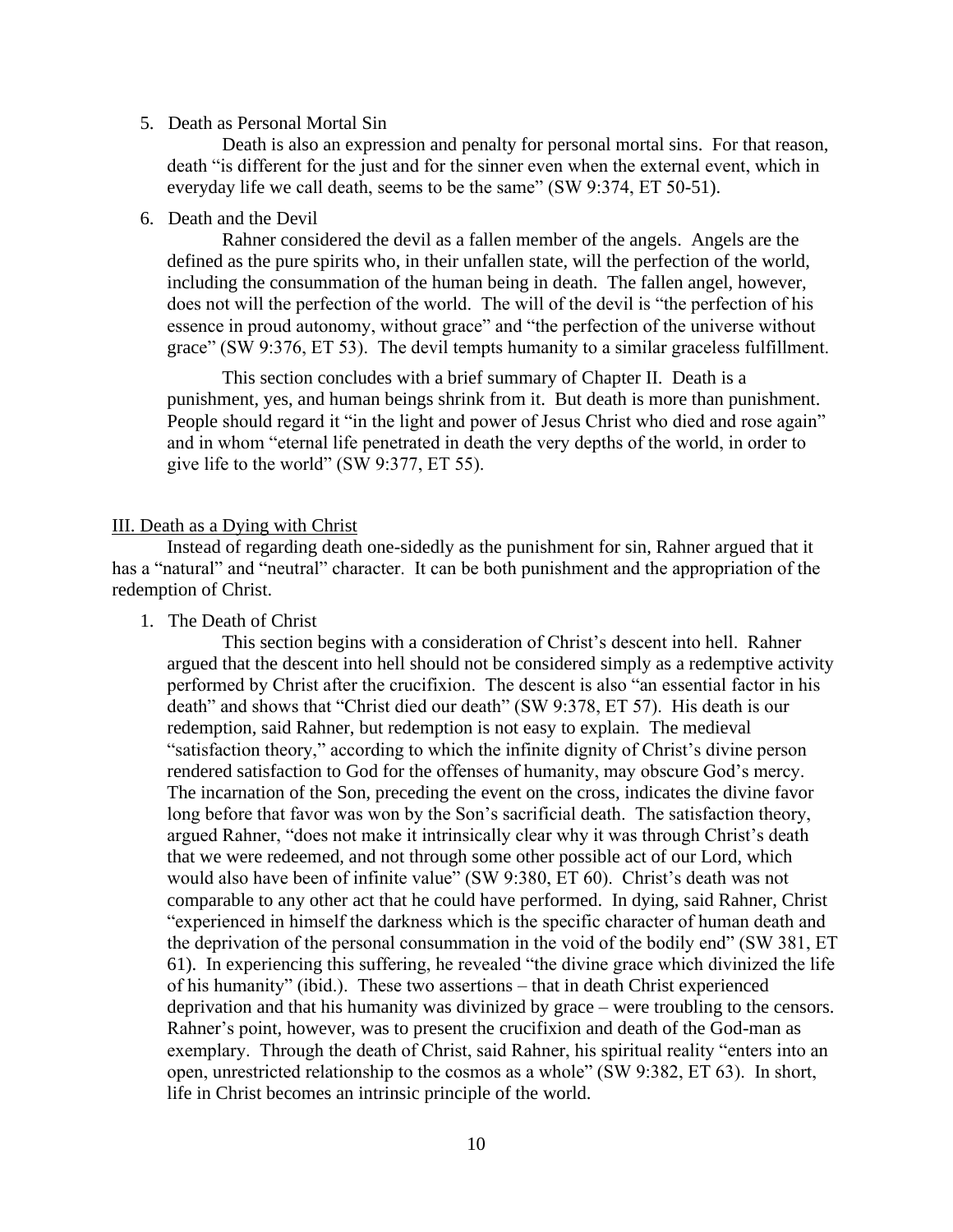#### 5. Death as Personal Mortal Sin

Death is also an expression and penalty for personal mortal sins. For that reason, death "is different for the just and for the sinner even when the external event, which in everyday life we call death, seems to be the same" (SW 9:374, ET 50-51).

#### 6. Death and the Devil

Rahner considered the devil as a fallen member of the angels. Angels are the defined as the pure spirits who, in their unfallen state, will the perfection of the world, including the consummation of the human being in death. The fallen angel, however, does not will the perfection of the world. The will of the devil is "the perfection of his essence in proud autonomy, without grace" and "the perfection of the universe without grace" (SW 9:376, ET 53). The devil tempts humanity to a similar graceless fulfillment.

This section concludes with a brief summary of Chapter II. Death is a punishment, yes, and human beings shrink from it. But death is more than punishment. People should regard it "in the light and power of Jesus Christ who died and rose again" and in whom "eternal life penetrated in death the very depths of the world, in order to give life to the world" (SW 9:377, ET 55).

#### III. Death as a Dying with Christ

Instead of regarding death one-sidedly as the punishment for sin, Rahner argued that it has a "natural" and "neutral" character. It can be both punishment and the appropriation of the redemption of Christ.

1. The Death of Christ

This section begins with a consideration of Christ's descent into hell. Rahner argued that the descent into hell should not be considered simply as a redemptive activity performed by Christ after the crucifixion. The descent is also "an essential factor in his death" and shows that "Christ died our death" (SW 9:378, ET 57). His death is our redemption, said Rahner, but redemption is not easy to explain. The medieval "satisfaction theory," according to which the infinite dignity of Christ's divine person rendered satisfaction to God for the offenses of humanity, may obscure God's mercy. The incarnation of the Son, preceding the event on the cross, indicates the divine favor long before that favor was won by the Son's sacrificial death. The satisfaction theory, argued Rahner, "does not make it intrinsically clear why it was through Christ's death that we were redeemed, and not through some other possible act of our Lord, which would also have been of infinite value" (SW 9:380, ET 60). Christ's death was not comparable to any other act that he could have performed. In dying, said Rahner, Christ "experienced in himself the darkness which is the specific character of human death and the deprivation of the personal consummation in the void of the bodily end" (SW 381, ET 61). In experiencing this suffering, he revealed "the divine grace which divinized the life of his humanity" (ibid.). These two assertions – that in death Christ experienced deprivation and that his humanity was divinized by grace – were troubling to the censors. Rahner's point, however, was to present the crucifixion and death of the God-man as exemplary. Through the death of Christ, said Rahner, his spiritual reality "enters into an open, unrestricted relationship to the cosmos as a whole" (SW 9:382, ET 63). In short, life in Christ becomes an intrinsic principle of the world.